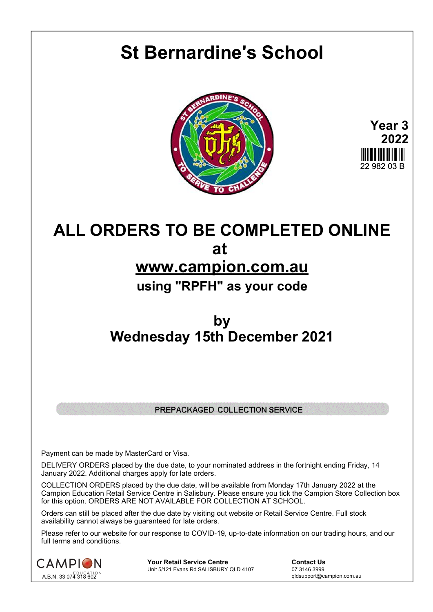# **St Bernardine's School**





# **ALL ORDERS TO BE COMPLETED ONLINE at www.campion.com.au using "RPFH" as your code**

## **by Wednesday 15th December 2021**

### PREPACKAGED COLLECTION SERVICE

Payment can be made by MasterCard or Visa.

DELIVERY ORDERS placed by the due date, to your nominated address in the fortnight ending Friday, 14 January 2022. Additional charges apply for late orders.

COLLECTION ORDERS placed by the due date, will be available from Monday 17th January 2022 at the Campion Education Retail Service Centre in Salisbury. Please ensure you tick the Campion Store Collection box for this option. ORDERS ARE NOT AVAILABLE FOR COLLECTION AT SCHOOL.

Orders can still be placed after the due date by visiting out website or Retail Service Centre. Full stock availability cannot always be guaranteed for late orders.

Please refer to our website for our response to COVID-19, up-to-date information on our trading hours, and our full terms and conditions.



**Your Retail Service Centre Contact Us**<br>
Unit 5/121 Evans Rd SALISBURY QLD 4107

07 3146 3999 Unit 5/121 Evans Rd SALISBURY QLD 4107

qldsupport@campion.com.au